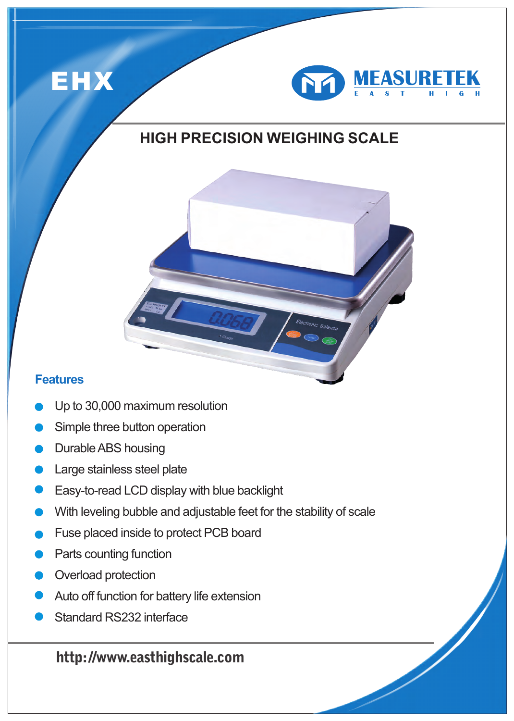



## **HIGH PRECISION WEIGHING SCALE**



- Up to 30,000 maximum resolution
- Simple three button operation
- Durable ABS housing
- **C** Large stainless steel plate
- **Easy-to-read LCD display with blue backlight**
- With leveling bubble and adjustable feet for the stability of scale
- Fuse placed inside to protect PCB board
- Parts counting function
- Overload protection
- **Auto off function for battery life extension**
- Standard RS232 interface

### **http: //www.easthighscale.com**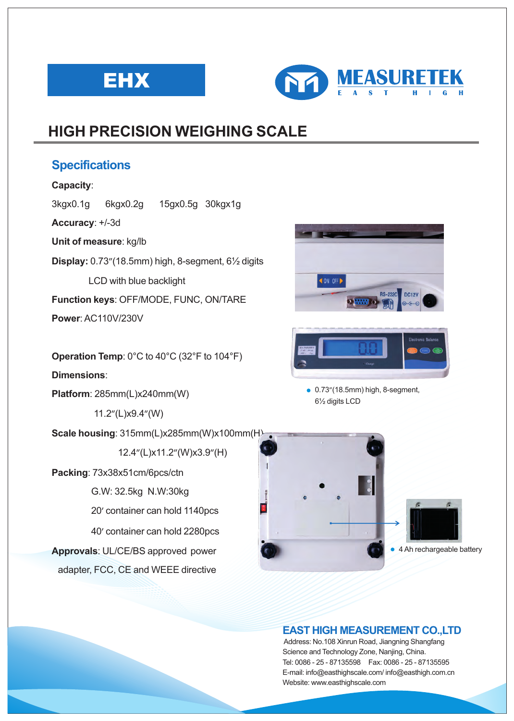



## **HIGH PRECISION WEIGHING SCALE**

### **Specifications**

### **Capacity**:

3kgx0.1g 6kgx0.2g 15gx0.5g 30kgx1g

**Accuracy**: +/-3d

**Unit of measure**: kg/lb

**Display:** 0.73"(18.5mm) high, 8-segment, 6½ digits

LCD with blue backlight

**Function keys**: OFF/MODE, FUNC, ON/TARE

**Power: AC110V/230V** 

**Operation Temp**: 0°C to 40°C (32°F to 104°F)

**Dimensions**:

**Platform**: 285mm(L)x240mm(W)

11.2"(L)x9.4"(W)

**Scale housing**: 315mm(L)x285mm(W)x100mm(H)

12.4"(L)x11.2"(W)x3.9"(H)

**Packing**: 73x38x51cm/6pcs/ctn

G.W: 32.5kg N.W:30kg

20' container can hold 1140pcs

40' container can hold 2280pcs

**Approvals**: UL/CE/BS approved power adapter, FCC, CE and WEEE directive





 6½ digits LCD ● 0.73"(18.5mm) high, 8-segment,



### **EAST HIGH MEASUREMENT CO.,LTD**

 Address: No.108 Xinrun Road, Jiangning Shangfang Science and Technology Zone, Nanjing, China. Tel: 0086 - 25 - 87135598 Fax: 0086 - 25 - 87135595 E-mail: info@easthighscale.com/ info@easthigh.com.cn Website: www.easthighscale.com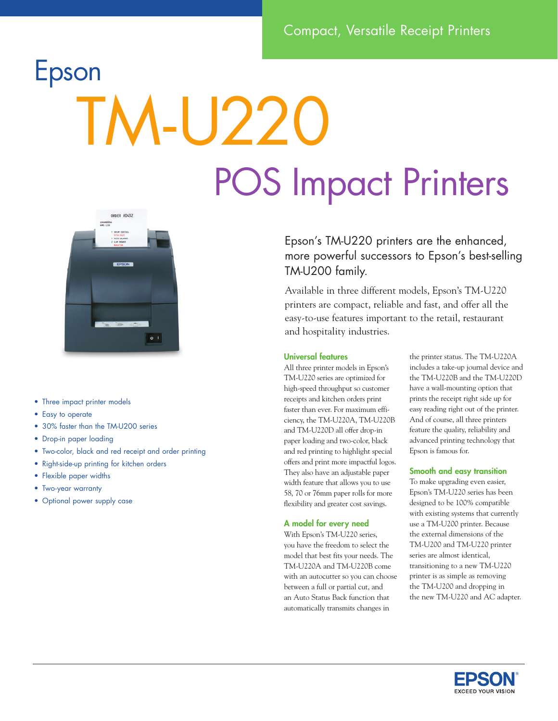# Epson TM-U220 POS Impact Printers



- Three impact printer models
- Easy to operate
- 30% faster than the TM-U200 series
- Drop-in paper loading
- Two-color, black and red receipt and order printing
- Right-side-up printing for kitchen orders
- Flexible paper widths
- Two-year warranty
- Optional power supply case

Epson's TM-U220 printers are the enhanced, more powerful successors to Epson's best-selling TM-U200 family.

Available in three different models, Epson's TM-U220 printers are compact, reliable and fast, and offer all the easy-to-use features important to the retail, restaurant and hospitality industries.

### Universal features

All three printer models in Epson's TM-U220 series are optimized for high-speed throughput so customer receipts and kitchen orders print faster than ever. For maximum efficiency, the TM-U220A, TM-U220B and TM-U220D all offer drop-in paper loading and two-color, black and red printing to highlight special offers and print more impactful logos. They also have an adjustable paper width feature that allows you to use 58, 70 or 76mm paper rolls for more flexibility and greater cost savings.

#### A model for every need

With Epson's TM-U220 series, you have the freedom to select the model that best fits your needs. The TM-U220A and TM-U220B come with an autocutter so you can choose between a full or partial cut, and an Auto Status Back function that automatically transmits changes in

the printer status. The TM-U220A includes a take-up journal device and the TM-U220B and the TM-U220D have a wall-mounting option that prints the receipt right side up for easy reading right out of the printer. And of course, all three printers feature the quality, reliability and advanced printing technology that Epson is famous for.

### Smooth and easy transition

To make upgrading even easier, Epson's TM-U220 series has been designed to be 100% compatible with existing systems that currently use a TM-U200 printer. Because the external dimensions of the TM-U200 and TM-U220 printer series are almost identical, transitioning to a new TM-U220 printer is as simple as removing the TM-U200 and dropping in the new TM-U220 and AC adapter.